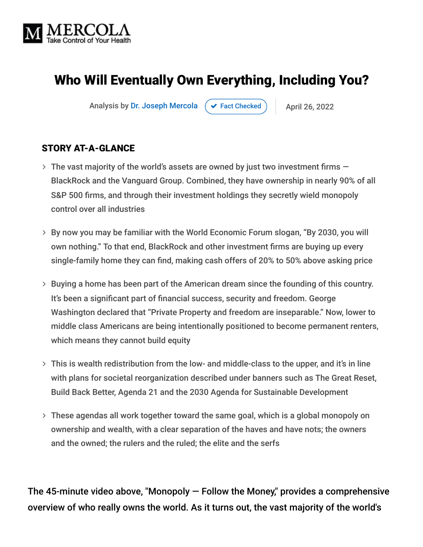

# Who Will Eventually Own Everything, Including You?

Analysis by [Dr. Joseph Mercola](https://www.mercola.com/forms/background.htm)  $\rightarrow$  [Fact Checked](javascript:void(0))  $\rightarrow$  April 26, 2022

#### STORY AT-A-GLANCE

- $\rightarrow$  The vast majority of the world's assets are owned by just two investment firms  $-$ BlackRock and the Vanguard Group. Combined, they have ownership in nearly 90% of all S&P 500 firms, and through their investment holdings they secretly wield monopoly control over all industries
- By now you may be familiar with the World Economic Forum slogan, "By 2030, you will own nothing." To that end, BlackRock and other investment firms are buying up every single-family home they can find, making cash offers of 20% to 50% above asking price
- > Buying a home has been part of the American dream since the founding of this country. It's been a significant part of financial success, security and freedom. George Washington declared that "Private Property and freedom are inseparable." Now, lower to middle class Americans are being intentionally positioned to become permanent renters, which means they cannot build equity
- This is wealth redistribution from the low- and middle-class to the upper, and it's in line with plans for societal reorganization described under banners such as The Great Reset, Build Back Better, Agenda 21 and the 2030 Agenda for Sustainable Development
- These agendas all work together toward the same goal, which is a global monopoly on ownership and wealth, with a clear separation of the haves and have nots; the owners and the owned; the rulers and the ruled; the elite and the serfs

The 45-minute video above, "Monopoly  $-$  Follow the Money," provides a comprehensive overview of who really owns the world. As it turns out, the vast majority of the world's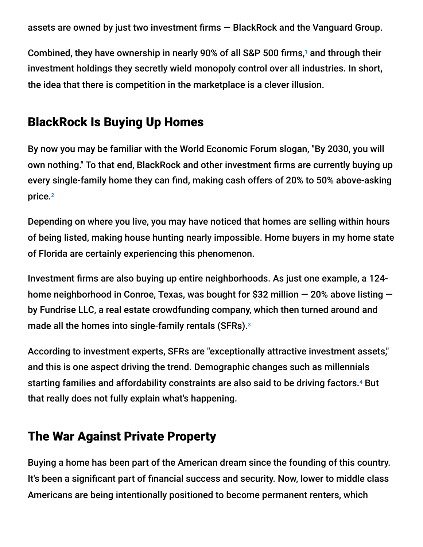assets are owned by just two investment firms — BlackRock and the Vanguard Group.

Combined, they have ownership in nearly 90% of all S&P 500 firms,<sup>1</sup> and through their investment holdings they secretly wield monopoly control over all industries. In short, the idea that there is competition in the marketplace is a clever illusion.

## BlackRock Is Buying Up Homes

By now you may be familiar with the World Economic Forum slogan, "By 2030, you will own nothing." To that end, BlackRock and other investment firms are currently buying up every single-family home they can find, making cash offers of 20% to 50% above-asking price. 2

Depending on where you live, you may have noticed that homes are selling within hours of being listed, making house hunting nearly impossible. Home buyers in my home state of Florida are certainly experiencing this phenomenon.

Investment firms are also buying up entire neighborhoods. As just one example, a 124 home neighborhood in Conroe, Texas, was bought for \$32 million — 20% above listing by Fundrise LLC, a real estate crowdfunding company, which then turned around and made all the homes into single-family rentals (SFRs). 3

According to investment experts, SFRs are "exceptionally attractive investment assets," and this is one aspect driving the trend. Demographic changes such as millennials starting families and affordability constraints are also said to be driving factors.<sup>4</sup> But that really does not fully explain what's happening.

## The War Against Private Property

Buying a home has been part of the American dream since the founding of this country. It's been a significant part of financial success and security. Now, lower to middle class Americans are being intentionally positioned to become permanent renters, which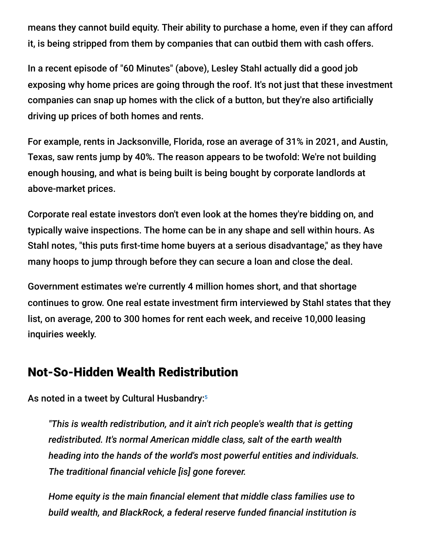means they cannot build equity. Their ability to purchase a home, even if they can afford it, is being stripped from them by companies that can outbid them with cash offers.

In a recent episode of "60 Minutes" (above), Lesley Stahl actually did a good job exposing why home prices are going through the roof. It's not just that these investment companies can snap up homes with the click of a button, but they're also artificially driving up prices of both homes and rents.

For example, rents in Jacksonville, Florida, rose an average of 31% in 2021, and Austin, Texas, saw rents jump by 40%. The reason appears to be twofold: We're not building enough housing, and what is being built is being bought by corporate landlords at above-market prices.

Corporate real estate investors don't even look at the homes they're bidding on, and typically waive inspections. The home can be in any shape and sell within hours. As Stahl notes, "this puts first-time home buyers at a serious disadvantage," as they have many hoops to jump through before they can secure a loan and close the deal.

Government estimates we're currently 4 million homes short, and that shortage continues to grow. One real estate investment firm interviewed by Stahl states that they list, on average, 200 to 300 homes for rent each week, and receive 10,000 leasing inquiries weekly.

## Not-So-Hidden Wealth Redistribution

As noted in a tweet by Cultural Husbandry: 5

*"This is wealth redistribution, and it ain't rich people's wealth that is getting redistributed. It's normal American middle class, salt of the earth wealth heading into the hands of the world's most powerful entities and individuals. The traditional financial vehicle [is] gone forever.*

*Home equity is the main financial element that middle class families use to build wealth, and BlackRock, a federal reserve funded financial institution is*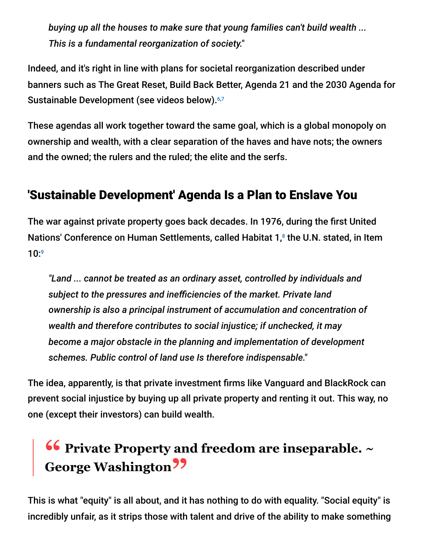*buying up all the houses to make sure that young families can't build wealth ... This is a fundamental reorganization of society."*

Indeed, and it's right in line with plans for societal reorganization described under banners such as The Great Reset, Build Back Better, Agenda 21 and the 2030 Agenda for Sustainable Development (see videos below).<sup>6,7</sup>

These agendas all work together toward the same goal, which is a global monopoly on ownership and wealth, with a clear separation of the haves and have nots; the owners and the owned; the rulers and the ruled; the elite and the serfs.

## 'Sustainable Development' Agenda Is a Plan to Enslave You

The war against private property goes back decades. In 1976, during the first United Nations' Conference on Human Settlements, called Habitat 1,<sup>8</sup> the U.N. stated, in Item 10: 9

*"Land ... cannot be treated as an ordinary asset, controlled by individuals and subject to the pressures and inefficiencies of the market. Private land ownership is also a principal instrument of accumulation and concentration of wealth and therefore contributes to social injustice; if unchecked, it may become a major obstacle in the planning and implementation of development schemes. Public control of land use Is therefore indispensable."*

The idea, apparently, is that private investment firms like Vanguard and BlackRock can prevent social injustice by buying up all private property and renting it out. This way, no one (except their investors) can build wealth.

# **16 Private Property and freedom are inseparable.** ~ **George Washington"**

This is what "equity" is all about, and it has nothing to do with equality. "Social equity" is incredibly unfair, as it strips those with talent and drive of the ability to make something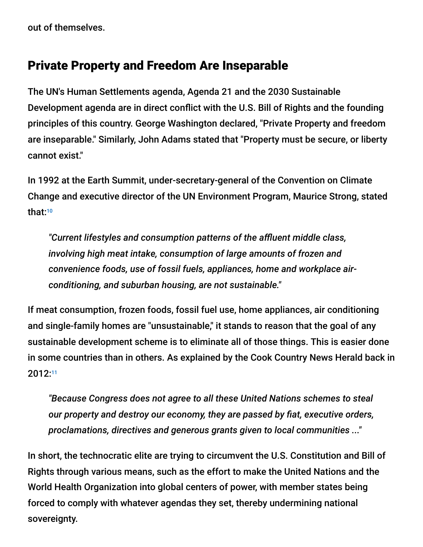out of themselves.

### Private Property and Freedom Are Inseparable

The UN's Human Settlements agenda, Agenda 21 and the 2030 Sustainable Development agenda are in direct conflict with the U.S. Bill of Rights and the founding principles of this country. George Washington declared, "Private Property and freedom are inseparable." Similarly, John Adams stated that "Property must be secure, or liberty cannot exist."

In 1992 at the Earth Summit, under-secretary-general of the Convention on Climate Change and executive director of the UN Environment Program, Maurice Strong, stated that: 10

*"Current lifestyles and consumption patterns of the affluent middle class, involving high meat intake, consumption of large amounts of frozen and convenience foods, use of fossil fuels, appliances, home and workplace airconditioning, and suburban housing, are not sustainable."*

If meat consumption, frozen foods, fossil fuel use, home appliances, air conditioning and single-family homes are "unsustainable," it stands to reason that the goal of any sustainable development scheme is to eliminate all of those things. This is easier done in some countries than in others. As explained by the Cook Country News Herald back in 2012: 11

*"Because Congress does not agree to all these United Nations schemes to steal our property and destroy our economy, they are passed by fiat, executive orders, proclamations, directives and generous grants given to local communities ..."*

In short, the technocratic elite are trying to circumvent the U.S. Constitution and Bill of Rights through various means, such as the effort to make the United Nations and the World Health Organization into global centers of power, with member states being forced to comply with whatever agendas they set, thereby undermining national sovereignty.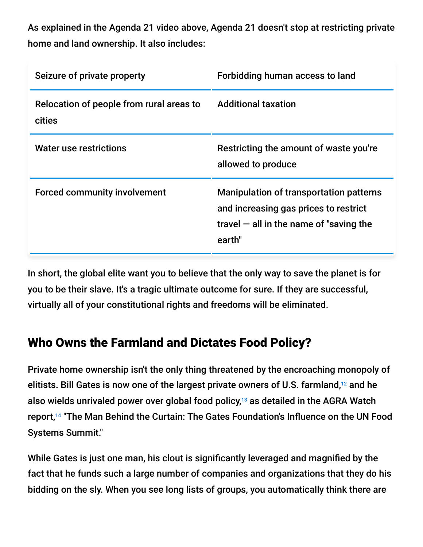As explained in the Agenda 21 video above, Agenda 21 doesn't stop at restricting private home and land ownership. It also includes:

| Seizure of private property                        | Forbidding human access to land                                                                                                                |
|----------------------------------------------------|------------------------------------------------------------------------------------------------------------------------------------------------|
| Relocation of people from rural areas to<br>cities | <b>Additional taxation</b>                                                                                                                     |
| <b>Water use restrictions</b>                      | Restricting the amount of waste you're<br>allowed to produce                                                                                   |
| <b>Forced community involvement</b>                | <b>Manipulation of transportation patterns</b><br>and increasing gas prices to restrict<br>travel $-$ all in the name of "saving the<br>earth" |

In short, the global elite want you to believe that the only way to save the planet is for you to be their slave. It's a tragic ultimate outcome for sure. If they are successful, virtually all of your constitutional rights and freedoms will be eliminated.

## Who Owns the Farmland and Dictates Food Policy?

Private home ownership isn't the only thing threatened by the encroaching monopoly of elitists. Bill Gates is now one of the largest private owners of U.S. farmland, $12$  and he also wields unrivaled power over global food policy, $13$  as detailed in the AGRA Watch report,<sup>14</sup> "The Man Behind the Curtain: The Gates Foundation's Influence on the UN Food Systems Summit."

While Gates is just one man, his clout is significantly leveraged and magnified by the fact that he funds such a large number of companies and organizations that they do his bidding on the sly. When you see long lists of groups, you automatically think there are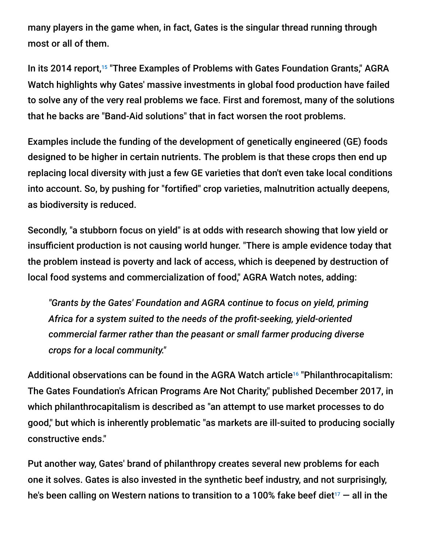many players in the game when, in fact, Gates is the singular thread running through most or all of them.

In its 2014 report,<sup>15</sup> "Three Examples of Problems with Gates Foundation Grants," AGRA Watch highlights why Gates' massive investments in global food production have failed to solve any of the very real problems we face. First and foremost, many of the solutions that he backs are "Band-Aid solutions" that in fact worsen the root problems.

Examples include the funding of the development of genetically engineered (GE) foods designed to be higher in certain nutrients. The problem is that these crops then end up replacing local diversity with just a few GE varieties that don't even take local conditions into account. So, by pushing for "fortified" crop varieties, malnutrition actually deepens, as biodiversity is reduced.

Secondly, "a stubborn focus on yield" is at odds with research showing that low yield or insufficient production is not causing world hunger. "There is ample evidence today that the problem instead is poverty and lack of access, which is deepened by destruction of local food systems and commercialization of food," AGRA Watch notes, adding:

*"Grants by the Gates' Foundation and AGRA continue to focus on yield, priming Africa for a system suited to the needs of the profit-seeking, yield-oriented commercial farmer rather than the peasant or small farmer producing diverse crops for a local community."*

Additional observations can be found in the AGRA Watch article<sup>16</sup> "Philanthrocapitalism: The Gates Foundation's African Programs Are Not Charity," published December 2017, in which philanthrocapitalism is described as "an attempt to use market processes to do good," but which is inherently problematic "as markets are ill-suited to producing socially constructive ends."

Put another way, Gates' brand of philanthropy creates several new problems for each one it solves. Gates is also invested in the synthetic beef industry, and not surprisingly, he's been calling on Western nations to transition to a 100% fake beef diet $^{_{17}}$  — all in the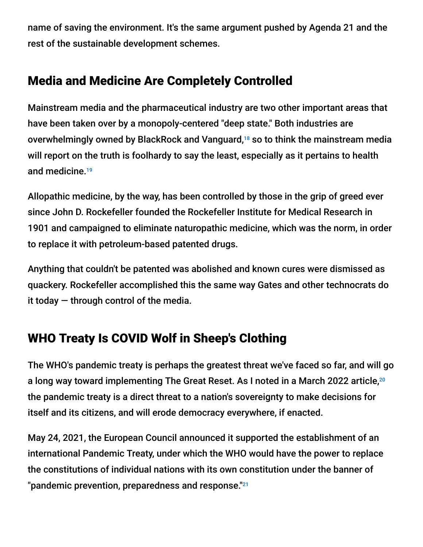name of saving the environment. It's the same argument pushed by Agenda 21 and the rest of the sustainable development schemes.

## Media and Medicine Are Completely Controlled

Mainstream media and the pharmaceutical industry are two other important areas that have been taken over by a monopoly-centered "deep state." Both industries are overwhelmingly owned by BlackRock and Vanguard,<sup>18</sup> so to think the mainstream media will report on the truth is foolhardy to say the least, especially as it pertains to health and medicine. 19

Allopathic medicine, by the way, has been controlled by those in the grip of greed ever since John D. Rockefeller founded the Rockefeller Institute for Medical Research in 1901 and campaigned to eliminate naturopathic medicine, which was the norm, in order to replace it with petroleum-based patented drugs.

Anything that couldn't be patented was abolished and known cures were dismissed as quackery. Rockefeller accomplished this the same way Gates and other technocrats do it today  $-$  through control of the media.

# WHO Treaty Is COVID Wolf in Sheep's Clothing

The WHO's pandemic treaty is perhaps the greatest threat we've faced so far, and will go a long way toward implementing The Great Reset. As I noted in a March 2022 article, 20 the pandemic treaty is a direct threat to a nation's sovereignty to make decisions for itself and its citizens, and will erode democracy everywhere, if enacted.

May 24, 2021, the European Council announced it supported the establishment of an international Pandemic Treaty, under which the WHO would have the power to replace the constitutions of individual nations with its own constitution under the banner of "pandemic prevention, preparedness and response." $^{21}$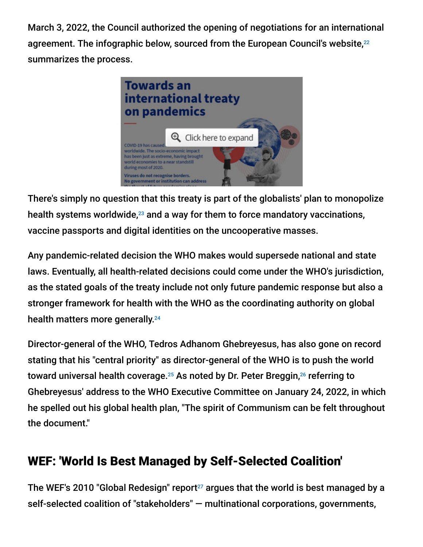March 3, 2022, the Council authorized the opening of negotiations for an international agreement. The infographic below, sourced from the European Council's website, 22 summarizes the process.



There's simply no question that this treaty is part of the globalists' plan to monopolize health systems worldwide, $^{23}$  and a way for them to force mandatory vaccinations, vaccine passports and digital identities on the uncooperative masses.

Any pandemic-related decision the WHO makes would supersede national and state laws. Eventually, all health-related decisions could come under the WHO's jurisdiction, as the stated goals of the treaty include not only future pandemic response but also a stronger framework for health with the WHO as the coordinating authority on global health matters more generally. 24

Director-general of the WHO, Tedros Adhanom Ghebreyesus, has also gone on record stating that his "central priority" as director-general of the WHO is to push the world toward universal health coverage. $^{25}$  As noted by Dr. Peter Breggin, $^{26}$  referring to Ghebreyesus' address to the WHO Executive Committee on January 24, 2022, in which he spelled out his global health plan, "The spirit of Communism can be felt throughout the document."

## WEF: 'World Is Best Managed by Self-Selected Coalition'

The WEF's 2010 "Global Redesign" report $^{27}$  argues that the world is best managed by a self-selected coalition of "stakeholders" — multinational corporations, governments,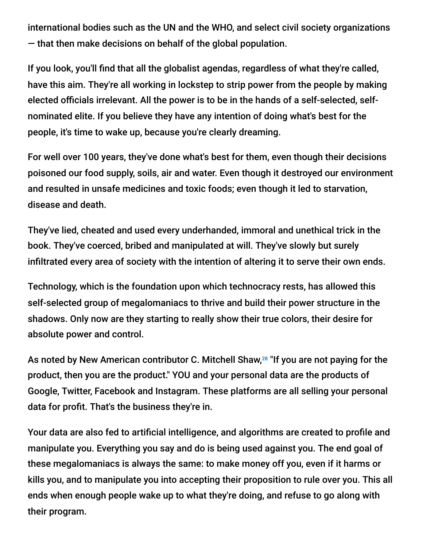international bodies such as the UN and the WHO, and select civil society organizations — that then make decisions on behalf of the global population.

If you look, you'll find that all the globalist agendas, regardless of what they're called, have this aim. They're all working in lockstep to strip power from the people by making elected officials irrelevant. All the power is to be in the hands of a self-selected, selfnominated elite. If you believe they have any intention of doing what's best for the people, it's time to wake up, because you're clearly dreaming.

For well over 100 years, they've done what's best for them, even though their decisions poisoned our food supply, soils, air and water. Even though it destroyed our environment and resulted in unsafe medicines and toxic foods; even though it led to starvation, disease and death.

They've lied, cheated and used every underhanded, immoral and unethical trick in the book. They've coerced, bribed and manipulated at will. They've slowly but surely infiltrated every area of society with the intention of altering it to serve their own ends.

Technology, which is the foundation upon which technocracy rests, has allowed this self-selected group of megalomaniacs to thrive and build their power structure in the shadows. Only now are they starting to really show their true colors, their desire for absolute power and control.

As noted by New American contributor C. Mitchell Shaw,<sup>28</sup> "If you are not paying for the product, then you are the product." YOU and your personal data are the products of Google, Twitter, Facebook and Instagram. These platforms are all selling your personal data for profit. That's the business they're in.

Your data are also fed to artificial intelligence, and algorithms are created to profile and manipulate you. Everything you say and do is being used against you. The end goal of these megalomaniacs is always the same: to make money off you, even if it harms or kills you, and to manipulate you into accepting their proposition to rule over you. This all ends when enough people wake up to what they're doing, and refuse to go along with their program.